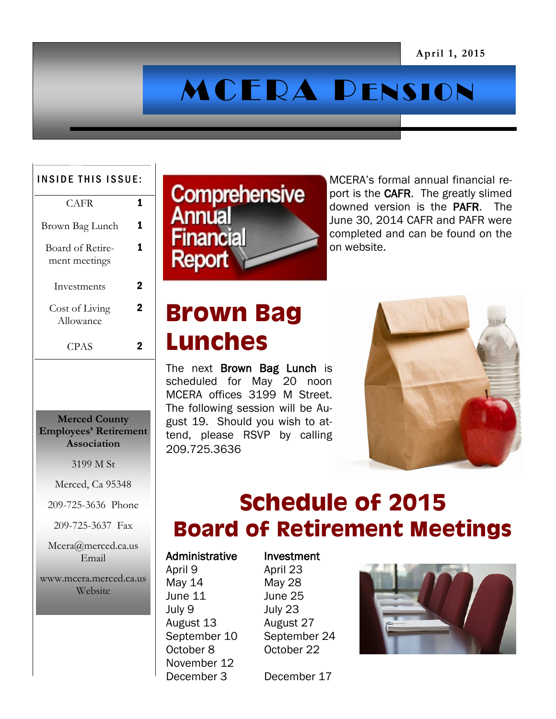# MCERA PENSION

#### INSIDE THIS ISSUE:

| CAFR.                             |  |
|-----------------------------------|--|
| Brown Bag Lunch                   |  |
| Board of Retire-<br>ment meetings |  |
| Investments                       |  |
| Cost of Living<br>Allowance       |  |
| CPAS                              |  |

#### **Merced County Employees' Retirement Association**

3199 M St

Merced, Ca 95348

209-725-3636 Phone

209-725-3637 Fax

Mcera@merced.ca.us Email

### www.mcera.merced.ca.us Website



MCERA's formal annual financial report is the **CAFR**. The greatly slimed downed version is the PAFR. The June 30, 2014 CAFR and PAFR were completed and can be found on the on website.

## **Brown Bag Lunches**

The next Brown Bag Lunch is scheduled for May 20 noon MCERA offices 3199 M Street. The following session will be August 19. Should you wish to attend, please RSVP by calling 209.725.3636



### **Schedule of 2015 Board of Retirement Meetings**

### Administrative Investment

May 14 May 28 June 11 June 25 July 9 July 23 August 13 August 27 September 10 September 24 October 8 October 22 November 12 December 3 December 17

April 9 April 23